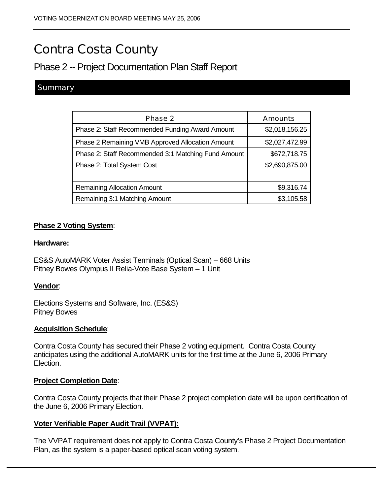# Contra Costa County

# Phase 2 -- Project Documentation Plan Staff Report

## **Summary**

| <b>Phase 2</b>                                      | <b>Amounts</b> |
|-----------------------------------------------------|----------------|
| Phase 2: Staff Recommended Funding Award Amount     | \$2,018,156.25 |
| Phase 2 Remaining VMB Approved Allocation Amount    | \$2,027,472.99 |
| Phase 2: Staff Recommended 3:1 Matching Fund Amount | \$672,718.75   |
| Phase 2: Total System Cost                          | \$2,690,875.00 |
|                                                     |                |
| <b>Remaining Allocation Amount</b>                  | \$9,316.74     |
| Remaining 3:1 Matching Amount                       | \$3,105.58     |

#### **Phase 2 Voting System**:

#### **Hardware:**

ES&S AutoMARK Voter Assist Terminals (Optical Scan) – 668 Units Pitney Bowes Olympus II Relia-Vote Base System – 1 Unit

#### **Vendor**:

Elections Systems and Software, Inc. (ES&S) Pitney Bowes

#### **Acquisition Schedule**:

Contra Costa County has secured their Phase 2 voting equipment. Contra Costa County anticipates using the additional AutoMARK units for the first time at the June 6, 2006 Primary Election.

#### **Project Completion Date**:

Contra Costa County projects that their Phase 2 project completion date will be upon certification of the June 6, 2006 Primary Election.

#### **Voter Verifiable Paper Audit Trail (VVPAT):**

The VVPAT requirement does not apply to Contra Costa County's Phase 2 Project Documentation Plan, as the system is a paper-based optical scan voting system.